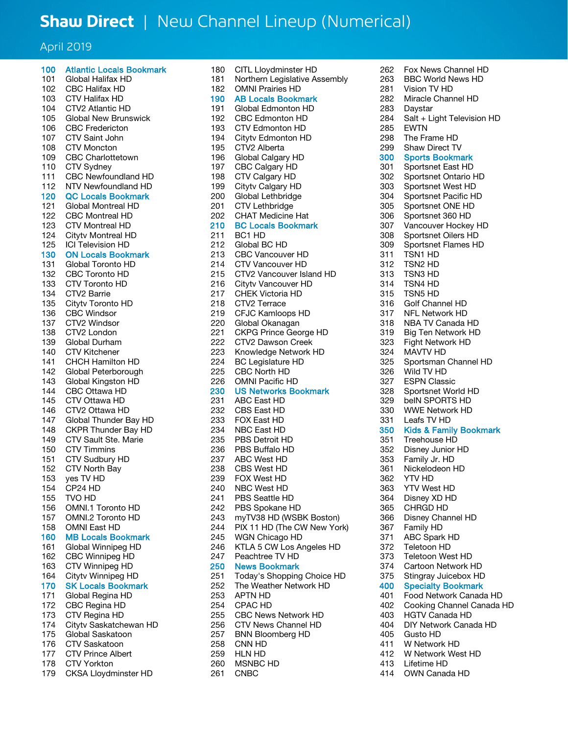## April 2019

| 100        | <b>Atlantic Locals Bookmarl</b>                 |
|------------|-------------------------------------------------|
| 101        | Global Halifax HD                               |
| 102        | CBC Halifax HD                                  |
| 103        | CTV Halifax HD                                  |
| 104<br>105 | CTV2 Atlantic HD<br><b>Global New Brunswick</b> |
| 106        | <b>CBC Fredericton</b>                          |
| 107        | CTV Saint John                                  |
| 108        | <b>CTV Moncton</b>                              |
| 109        | <b>CBC Charlottetown</b>                        |
| 110        | CTV Sydney                                      |
| 111        | <b>CBC Newfoundland HD</b>                      |
| 112        | NTV Newfoundland HD                             |
| 120        | <b>QC Locals Bookmark</b>                       |
| 121        | Global Montreal HD                              |
| 122        | <b>CBC Montreal HD</b>                          |
| 123        | <b>CTV Montreal HD</b>                          |
| 124        | Citytv Montreal HD                              |
| 125<br>130 | ICI Television HD<br><b>ON Locals Bookmark</b>  |
| 131        | Global Toronto HD                               |
| 132        | CBC Toronto HD                                  |
| 133        | CTV Toronto HD                                  |
| 134        | CTV2 Barrie                                     |
| 135        | Citytv Toronto HD                               |
| 136        | <b>CBC Windsor</b>                              |
| 137        | CTV2 Windsor                                    |
| 138        | CTV2 London                                     |
| 139        | Global Durham                                   |
| 140        | <b>CTV Kitchener</b>                            |
| 141        | <b>CHCH Hamilton HD</b>                         |
| 142        | Global Peterborough                             |
| 143<br>144 | Global Kingston HD<br>CBC Ottawa HD             |
| 145        | CTV Ottawa HD                                   |
| 146        | CTV2 Ottawa HD                                  |
| 147        | Global Thunder Bay HD                           |
| 148        | <b>CKPR Thunder Bay HD</b>                      |
| 149        | CTV Sault Ste. Marie                            |
| 150        | <b>CTV Timmins</b>                              |
| 151        | CTV Sudbury HD                                  |
| 152        | CTV North Bay                                   |
| 153        | yes TV HD                                       |
| 154        | CP24 HD                                         |
| 155<br>156 | <b>TVO HD</b><br>OMNI.1 Toronto HD              |
| 157        | OMNI.2 Toronto HD                               |
| 158        | OMNI East HD                                    |
| 160        | <b>MB Locals Bookmark</b>                       |
| 161        | Global Winnipeg HD                              |
| 162        | <b>CBC Winnipeg HD</b>                          |
| 163        | CTV Winnipeg HD                                 |
| 164        | Citytv Winnipeg HD                              |
| 170        | <b>SK Locals Bookmark</b>                       |
| 171        | Global Regina HD                                |
| 172        | CBC Regina HD                                   |
| 173        | CTV Regina HD                                   |
| 174<br>175 | Citytv Saskatchewan HD<br>Global Saskatoon      |
| 176        | <b>CTV Saskatoon</b>                            |
| 177        | <b>CTV Prince Albert</b>                        |
| 178        | <b>CTV Yorkton</b>                              |
| 170        | $C$ KCA Lloudminote                             |

181 Northern Legislative Assembly 263 BBC World News HD 182 OMNI Prairies HD 281 Vision TV HD 190 AB Locals Bookmark 282 Miracle Channel HD 191 Global Edmonton HD 283 Daystar 192 CBC Edmonton HD 284 Salt + Light Television HD 193 CTV Edmonton HD 285 EWTN 194 Citytv Edmonton HD 298 The Frame HD 195 CTV2 Alberta 299 Shaw Direct TV 196 Global Calgary HD 300 Sports Bookmark 197 CBC Calgary HD 301 Sportsnet East HD 198 CTV Calgary HD 198 CTV Calgary HD 302 Sportsnet Ontario HD 199 Cityty Calgary HD 303 Sportsnet West HD 200 Global Lethbridge 304 Sportsnet Pacific HD 201 CTV Lethbridge 305 Sportsnet ONE HD 202 CHAT Medicine Hat 306 Sportsnet 360 HD 210 BC Locals Bookmark 307 Vancouver Hockey HD 211 BC1 HD 308 Sportsnet Oilers HD 212 Global BC HD 309 Sportsnet Flames HD 213 CBC Vancouver HD 311 TSN1 HD 214 CTV Vancouver HD 312 TSN2 HD 215 CTV2 Vancouver Island HD 313 TSN3 HD 216 Cityty Vancouver HD 314 TSN4 HD 217 CHEK Victoria HD 315 TSN5 HD 218 CTV2 Terrace 316 Golf Channel HD 219 CFJC Kamloops HD 317 NFL Network HD 220 Global Okanagan 318 NBA TV Canada HD 221 CKPG Prince George HD 319 Big Ten Network HD 222 CTV2 Dawson Creek 323 Fight Network HD 223 Knowledge Network HD 324 MAVTV HD 224 BC Legislature HD 325 Sportsman Channel HD 225 CBC North HD 326 Wild TV HD 226 OMNI Pacific HD 327 ESPN Classic 230 US Networks Bookmark 328 Sportsnet World HD 231 ABC East HD 329 beIN SPORTS HD 232 CBS East HD 330 WWE Network HD 233 FOX East HD 331 Leafs TV HD 234 NBC East HD 350 Kids & Family Bookmark 235 PBS Detroit HD 351 Treehouse HD 236 PBS Buffalo HD 352 Disney Junior HD<br>150 CTV ABC West HD 353 Family Jr. HD 151 237 ABC West HD 235 Family Jr. HD<br>151 CAS West HD 238 CBS West HD 361 Nickelodeon HD 238 CBS West HD 361 153 239 FOX West HD 240 NBC West HD 240 NBC West HD 363 YTV West HD 154 240 NBC West HD<br>1541 PBS Seattle HD 364 241 PBS Seattle HD 364 Disney XD HD<br>242 PBS Spokane HD 365 CHRGD HD 242 PBS Spokane HD 365 CHRGD HD 243 myTV38 HD (WSBK Boston) 366 Disney Channel HD 244 PIX 11 HD (The CW New York) 367 Family HD 245 WGN Chicago HD 371 ABC Spark HD 246 KTLA 5 CW Los Angeles HD 372 Teletoon HD 247 Peachtree TV HD 373 Teletoon West HD 250 News Bookmark 374 Cartoon Network HD 251 Today's Shopping Choice HD 375 Stingray Juicebox HD 252 The Weather Network HD 400 Specialty Bookmark 253 APTN HD 253 APTN HD 254 APTN HD 172 CBC Regina HD 254 CPAC HD 402 Cooking Channel Canada HD 255 CBC News Network HD 403 HGTV Canada HD 174 Citytv Saskatchewan HD 256 CTV News Channel HD 404 DIY Network Canada HD 257 BNN Bloomberg HD 405 Gusto HD 258 CNN HD 411 W Network HD 259 HLN HD 412 W Network West HD 260 MSNBC HD 413 Lifetime HD 179 CKSA Lloydminster HD 261 CNBC 120 201 261 261 CNBC 414 OWN Canada HD

100 CITL Lloydminster HD 262 Fox News Channel HD